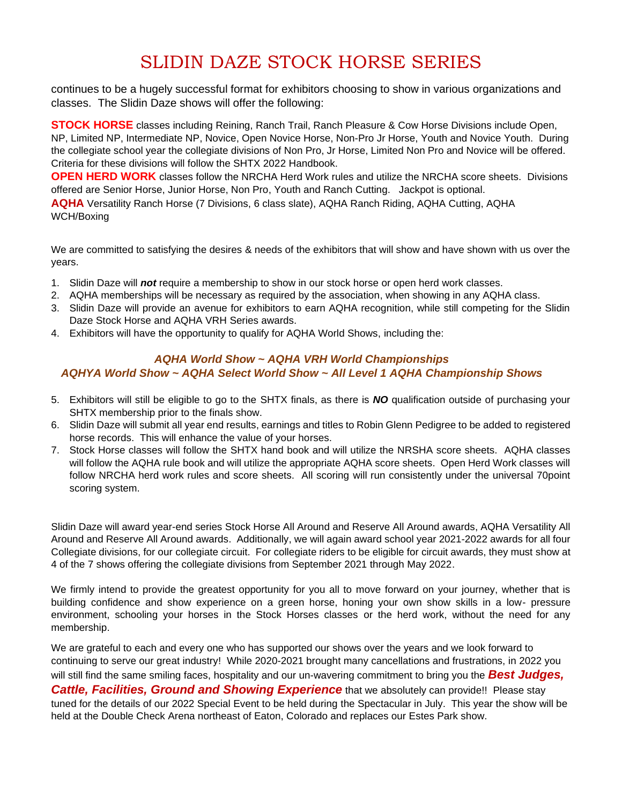# SLIDIN DAZE STOCK HORSE SERIES

continues to be a hugely successful format for exhibitors choosing to show in various organizations and classes. The Slidin Daze shows will offer the following:

**STOCK HORSE** classes including Reining, Ranch Trail, Ranch Pleasure & Cow Horse Divisions include Open, NP, Limited NP, Intermediate NP, Novice, Open Novice Horse, Non-Pro Jr Horse, Youth and Novice Youth. During the collegiate school year the collegiate divisions of Non Pro, Jr Horse, Limited Non Pro and Novice will be offered. Criteria for these divisions will follow the SHTX 2022 Handbook.

**OPEN HERD WORK** classes follow the NRCHA Herd Work rules and utilize the NRCHA score sheets. Divisions offered are Senior Horse, Junior Horse, Non Pro, Youth and Ranch Cutting. Jackpot is optional.

**AQHA** Versatility Ranch Horse (7 Divisions, 6 class slate), AQHA Ranch Riding, AQHA Cutting, AQHA WCH/Boxing

We are committed to satisfying the desires & needs of the exhibitors that will show and have shown with us over the years.

- 1. Slidin Daze will *not* require a membership to show in our stock horse or open herd work classes.
- 2. AQHA memberships will be necessary as required by the association, when showing in any AQHA class.
- 3. Slidin Daze will provide an avenue for exhibitors to earn AQHA recognition, while still competing for the Slidin Daze Stock Horse and AQHA VRH Series awards.
- 4. Exhibitors will have the opportunity to qualify for AQHA World Shows, including the:

#### *AQHA World Show ~ AQHA VRH World Championships AQHYA World Show ~ AQHA Select World Show ~ All Level 1 AQHA Championship Shows*

- 5. Exhibitors will still be eligible to go to the SHTX finals, as there is *NO* qualification outside of purchasing your SHTX membership prior to the finals show.
- 6. Slidin Daze will submit all year end results, earnings and titles to Robin Glenn Pedigree to be added to registered horse records. This will enhance the value of your horses.
- 7. Stock Horse classes will follow the SHTX hand book and will utilize the NRSHA score sheets. AQHA classes will follow the AQHA rule book and will utilize the appropriate AQHA score sheets. Open Herd Work classes will follow NRCHA herd work rules and score sheets. All scoring will run consistently under the universal 70point scoring system.

Slidin Daze will award year-end series Stock Horse All Around and Reserve All Around awards, AQHA Versatility All Around and Reserve All Around awards. Additionally, we will again award school year 2021-2022 awards for all four Collegiate divisions, for our collegiate circuit. For collegiate riders to be eligible for circuit awards, they must show at 4 of the 7 shows offering the collegiate divisions from September 2021 through May 2022.

We firmly intend to provide the greatest opportunity for you all to move forward on your journey, whether that is building confidence and show experience on a green horse, honing your own show skills in a low- pressure environment, schooling your horses in the Stock Horses classes or the herd work, without the need for any membership.

We are grateful to each and every one who has supported our shows over the years and we look forward to continuing to serve our great industry! While 2020-2021 brought many cancellations and frustrations, in 2022 you

will still find the same smiling faces, hospitality and our un-wavering commitment to bring you the *Best Judges, Cattle, Facilities, Ground and Showing Experience* that we absolutely can provide!! Please stay tuned for the details of our 2022 Special Event to be held during the Spectacular in July. This year the show will be held at the Double Check Arena northeast of Eaton, Colorado and replaces our Estes Park show.